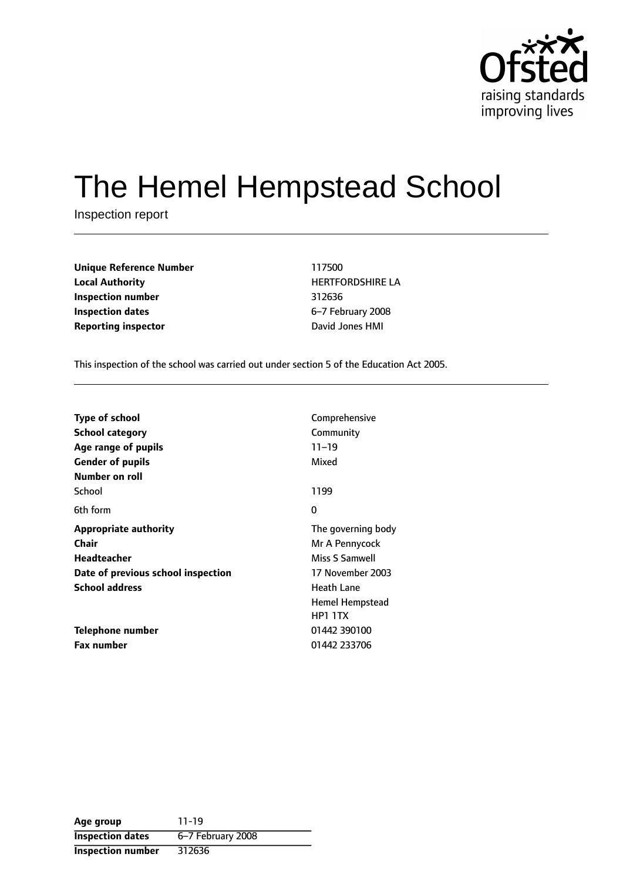

# The Hemel Hempstead School

Inspection report

| Unique Reference Number    | 117500               |  |  |
|----------------------------|----------------------|--|--|
| <b>Local Authority</b>     | <b>HERTFORDSHIRE</b> |  |  |
| <b>Inspection number</b>   | 312636               |  |  |
| <b>Inspection dates</b>    | 6-7 February 200     |  |  |
| <b>Reporting inspector</b> | David Jones HMI      |  |  |

**Local Authority** HERTFORDSHIRE LA **Inspection number** 312636 **Inspection dates** 67 February 2008

This inspection of the school was carried out under section 5 of the Education Act 2005.

| <b>Type of school</b>              | Comprehensive          |
|------------------------------------|------------------------|
| <b>School category</b>             | Community              |
| Age range of pupils                | $11 - 19$              |
| <b>Gender of pupils</b>            | Mixed                  |
| Number on roll                     |                        |
| School                             | 1199                   |
| 6th form                           | 0                      |
| <b>Appropriate authority</b>       | The governing body     |
| Chair                              | Mr A Pennycock         |
| <b>Headteacher</b>                 | Miss S Samwell         |
| Date of previous school inspection | 17 November 2003       |
| <b>School address</b>              | Heath Lane             |
|                                    | <b>Hemel Hempstead</b> |
|                                    | <b>HP1 1TX</b>         |
| Telephone number                   | 01442 390100           |
| <b>Fax number</b>                  | 01442 233706           |

| Age group                | 11-19             |
|--------------------------|-------------------|
| <b>Inspection dates</b>  | 6-7 February 2008 |
| <b>Inspection number</b> | 312636            |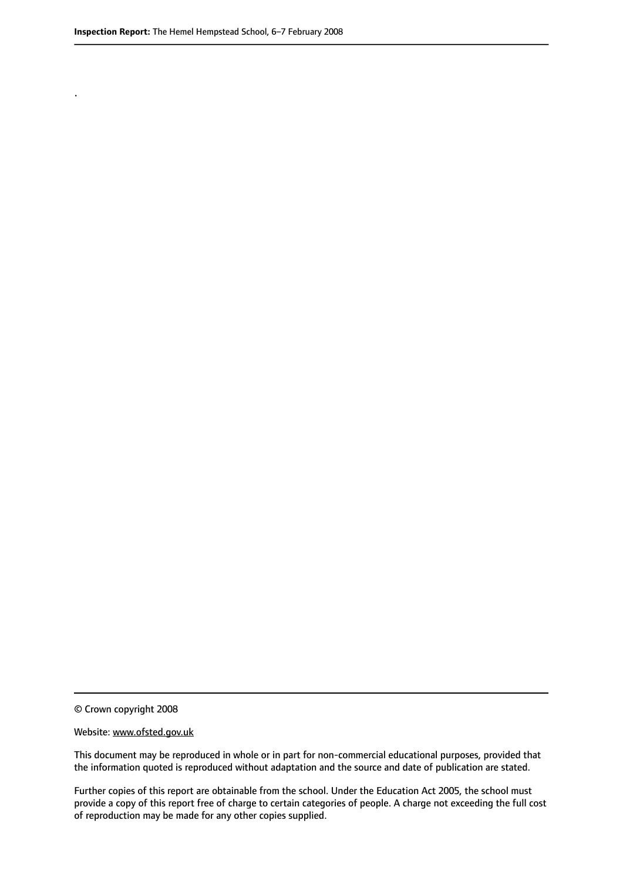.

© Crown copyright 2008

#### Website: www.ofsted.gov.uk

This document may be reproduced in whole or in part for non-commercial educational purposes, provided that the information quoted is reproduced without adaptation and the source and date of publication are stated.

Further copies of this report are obtainable from the school. Under the Education Act 2005, the school must provide a copy of this report free of charge to certain categories of people. A charge not exceeding the full cost of reproduction may be made for any other copies supplied.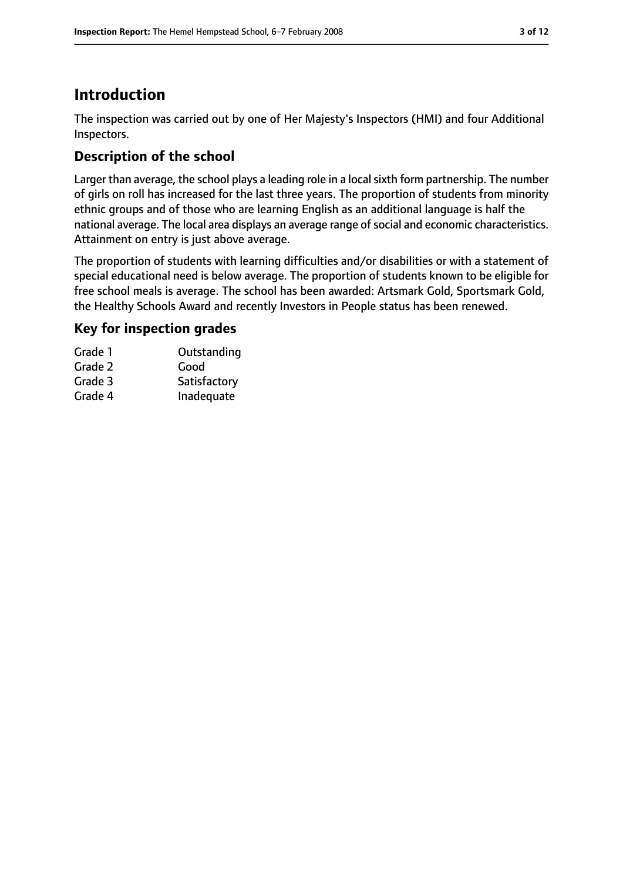### **Introduction**

The inspection was carried out by one of Her Majesty's Inspectors (HMI) and four Additional Inspectors.

### **Description of the school**

Larger than average, the school plays a leading role in a local sixth form partnership. The number of girls on roll has increased for the last three years. The proportion of students from minority ethnic groups and of those who are learning English as an additional language is half the national average. The local area displays an average range of social and economic characteristics. Attainment on entry is just above average.

The proportion of students with learning difficulties and/or disabilities or with a statement of special educational need is below average. The proportion of students known to be eligible for free school meals is average. The school has been awarded: Artsmark Gold, Sportsmark Gold, the Healthy Schools Award and recently Investors in People status has been renewed.

### **Key for inspection grades**

| Grade 1 | Outstanding  |
|---------|--------------|
| Grade 2 | Good         |
| Grade 3 | Satisfactory |
| Grade 4 | Inadequate   |
|         |              |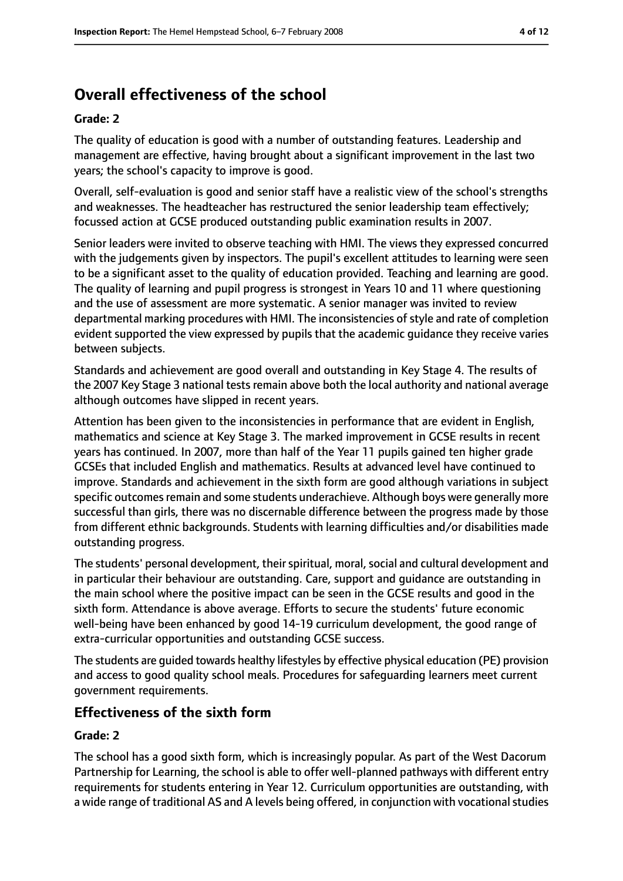### **Overall effectiveness of the school**

#### **Grade: 2**

The quality of education is good with a number of outstanding features. Leadership and management are effective, having brought about a significant improvement in the last two years; the school's capacity to improve is good.

Overall, self-evaluation is good and senior staff have a realistic view of the school's strengths and weaknesses. The headteacher has restructured the senior leadership team effectively; focussed action at GCSE produced outstanding public examination results in 2007.

Senior leaders were invited to observe teaching with HMI. The views they expressed concurred with the judgements given by inspectors. The pupil's excellent attitudes to learning were seen to be a significant asset to the quality of education provided. Teaching and learning are good. The quality of learning and pupil progress is strongest in Years 10 and 11 where questioning and the use of assessment are more systematic. A senior manager was invited to review departmental marking procedures with HMI. The inconsistencies of style and rate of completion evident supported the view expressed by pupils that the academic guidance they receive varies between subjects.

Standards and achievement are good overall and outstanding in Key Stage 4. The results of the 2007 Key Stage 3 national tests remain above both the local authority and national average although outcomes have slipped in recent years.

Attention has been given to the inconsistencies in performance that are evident in English, mathematics and science at Key Stage 3. The marked improvement in GCSE results in recent years has continued. In 2007, more than half of the Year 11 pupils gained ten higher grade GCSEs that included English and mathematics. Results at advanced level have continued to improve. Standards and achievement in the sixth form are good although variations in subject specific outcomes remain and some students underachieve. Although boys were generally more successful than girls, there was no discernable difference between the progress made by those from different ethnic backgrounds. Students with learning difficulties and/or disabilities made outstanding progress.

The students' personal development, their spiritual, moral, social and cultural development and in particular their behaviour are outstanding. Care, support and guidance are outstanding in the main school where the positive impact can be seen in the GCSE results and good in the sixth form. Attendance is above average. Efforts to secure the students' future economic well-being have been enhanced by good 14-19 curriculum development, the good range of extra-curricular opportunities and outstanding GCSE success.

The students are guided towards healthy lifestyles by effective physical education (PE) provision and access to good quality school meals. Procedures for safeguarding learners meet current government requirements.

#### **Effectiveness of the sixth form**

#### **Grade: 2**

The school has a good sixth form, which is increasingly popular. As part of the West Dacorum Partnership for Learning, the school is able to offer well-planned pathways with different entry requirements for students entering in Year 12. Curriculum opportunities are outstanding, with a wide range of traditional AS and A levels being offered, in conjunction with vocational studies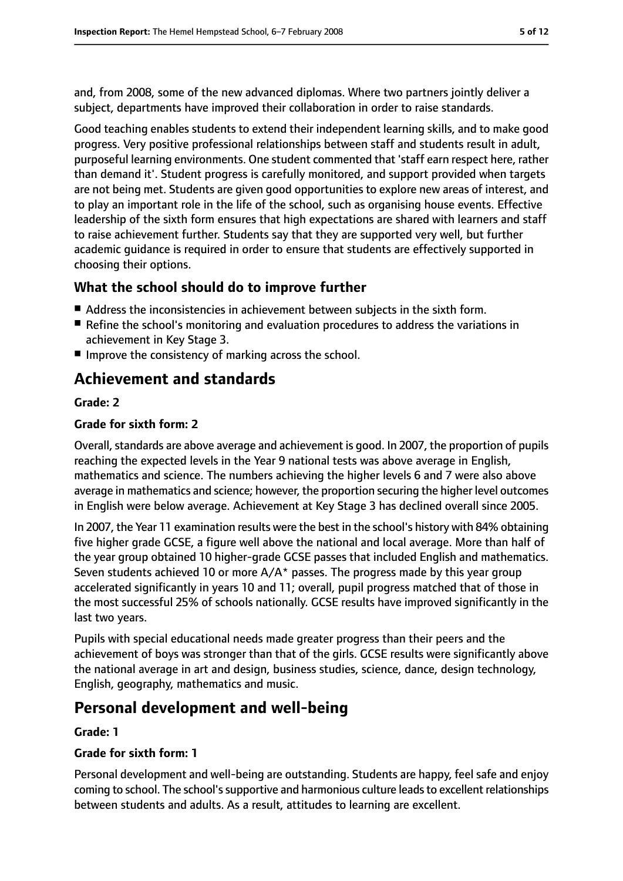and, from 2008, some of the new advanced diplomas. Where two partners jointly deliver a subject, departments have improved their collaboration in order to raise standards.

Good teaching enables students to extend their independent learning skills, and to make good progress. Very positive professional relationships between staff and students result in adult, purposeful learning environments. One student commented that 'staff earn respect here, rather than demand it'. Student progress is carefully monitored, and support provided when targets are not being met. Students are given good opportunities to explore new areas of interest, and to play an important role in the life of the school, such as organising house events. Effective leadership of the sixth form ensures that high expectations are shared with learners and staff to raise achievement further. Students say that they are supported very well, but further academic guidance is required in order to ensure that students are effectively supported in choosing their options.

### **What the school should do to improve further**

- Address the inconsistencies in achievement between subjects in the sixth form.
- Refine the school's monitoring and evaluation procedures to address the variations in achievement in Key Stage 3.
- Improve the consistency of marking across the school.

### **Achievement and standards**

#### **Grade: 2**

#### **Grade for sixth form: 2**

Overall, standards are above average and achievement is good. In 2007, the proportion of pupils reaching the expected levels in the Year 9 national tests was above average in English, mathematics and science. The numbers achieving the higher levels 6 and 7 were also above average in mathematics and science; however, the proportion securing the higher level outcomes in English were below average. Achievement at Key Stage 3 has declined overall since 2005.

In 2007, the Year 11 examination results were the best in the school's history with 84% obtaining five higher grade GCSE, a figure well above the national and local average. More than half of the year group obtained 10 higher-grade GCSE passes that included English and mathematics. Seven students achieved 10 or more  $A/A^*$  passes. The progress made by this year group accelerated significantly in years 10 and 11; overall, pupil progress matched that of those in the most successful 25% of schools nationally. GCSE results have improved significantly in the last two years.

Pupils with special educational needs made greater progress than their peers and the achievement of boys was stronger than that of the girls. GCSE results were significantly above the national average in art and design, business studies, science, dance, design technology, English, geography, mathematics and music.

### **Personal development and well-being**

#### **Grade: 1**

#### **Grade for sixth form: 1**

Personal development and well-being are outstanding. Students are happy, feel safe and enjoy coming to school. The school's supportive and harmonious culture leads to excellent relationships between students and adults. As a result, attitudes to learning are excellent.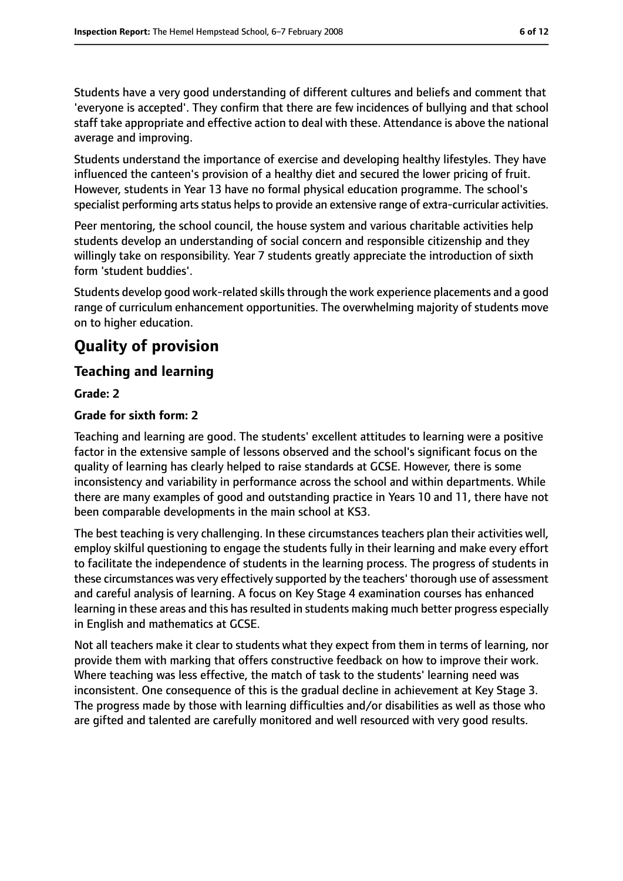Students have a very good understanding of different cultures and beliefs and comment that 'everyone is accepted'. They confirm that there are few incidences of bullying and that school staff take appropriate and effective action to deal with these. Attendance is above the national average and improving.

Students understand the importance of exercise and developing healthy lifestyles. They have influenced the canteen's provision of a healthy diet and secured the lower pricing of fruit. However, students in Year 13 have no formal physical education programme. The school's specialist performing arts status helps to provide an extensive range of extra-curricular activities.

Peer mentoring, the school council, the house system and various charitable activities help students develop an understanding of social concern and responsible citizenship and they willingly take on responsibility. Year 7 students greatly appreciate the introduction of sixth form 'student buddies'.

Students develop good work-related skills through the work experience placements and a good range of curriculum enhancement opportunities. The overwhelming majority of students move on to higher education.

### **Quality of provision**

### **Teaching and learning**

**Grade: 2**

#### **Grade for sixth form: 2**

Teaching and learning are good. The students' excellent attitudes to learning were a positive factor in the extensive sample of lessons observed and the school's significant focus on the quality of learning has clearly helped to raise standards at GCSE. However, there is some inconsistency and variability in performance across the school and within departments. While there are many examples of good and outstanding practice in Years 10 and 11, there have not been comparable developments in the main school at KS3.

The best teaching is very challenging. In these circumstances teachers plan their activities well, employ skilful questioning to engage the students fully in their learning and make every effort to facilitate the independence of students in the learning process. The progress of students in these circumstances was very effectively supported by the teachers' thorough use of assessment and careful analysis of learning. A focus on Key Stage 4 examination courses has enhanced learning in these areas and this has resulted in students making much better progress especially in English and mathematics at GCSE.

Not all teachers make it clear to students what they expect from them in terms of learning, nor provide them with marking that offers constructive feedback on how to improve their work. Where teaching was less effective, the match of task to the students' learning need was inconsistent. One consequence of this is the gradual decline in achievement at Key Stage 3. The progress made by those with learning difficulties and/or disabilities as well as those who are gifted and talented are carefully monitored and well resourced with very good results.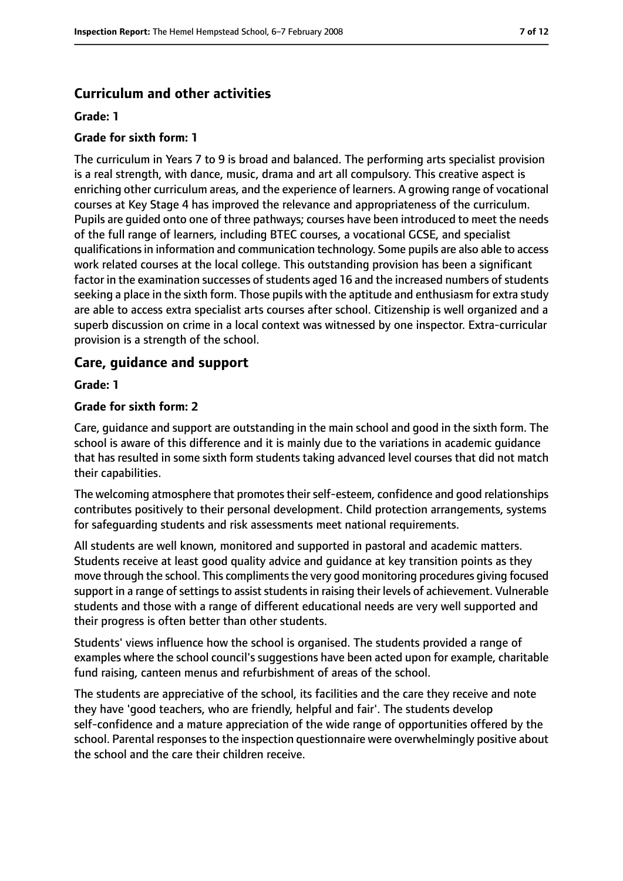#### **Curriculum and other activities**

#### **Grade: 1**

#### **Grade for sixth form: 1**

The curriculum in Years 7 to 9 is broad and balanced. The performing arts specialist provision is a real strength, with dance, music, drama and art all compulsory. This creative aspect is enriching other curriculum areas, and the experience of learners. A growing range of vocational courses at Key Stage 4 has improved the relevance and appropriateness of the curriculum. Pupils are guided onto one of three pathways; courses have been introduced to meet the needs of the full range of learners, including BTEC courses, a vocational GCSE, and specialist qualificationsin information and communication technology. Some pupils are also able to access work related courses at the local college. This outstanding provision has been a significant factor in the examination successes of students aged 16 and the increased numbers of students seeking a place in the sixth form. Those pupils with the aptitude and enthusiasm for extra study are able to access extra specialist arts courses after school. Citizenship is well organized and a superb discussion on crime in a local context was witnessed by one inspector. Extra-curricular provision is a strength of the school.

#### **Care, guidance and support**

#### **Grade: 1**

#### **Grade for sixth form: 2**

Care, guidance and support are outstanding in the main school and good in the sixth form. The school is aware of this difference and it is mainly due to the variations in academic guidance that has resulted in some sixth form students taking advanced level courses that did not match their capabilities.

The welcoming atmosphere that promotes their self-esteem, confidence and good relationships contributes positively to their personal development. Child protection arrangements, systems for safeguarding students and risk assessments meet national requirements.

All students are well known, monitored and supported in pastoral and academic matters. Students receive at least good quality advice and guidance at key transition points as they move through the school. This compliments the very good monitoring procedures giving focused support in a range of settings to assist students in raising their levels of achievement. Vulnerable students and those with a range of different educational needs are very well supported and their progress is often better than other students.

Students' views influence how the school is organised. The students provided a range of examples where the school council's suggestions have been acted upon for example, charitable fund raising, canteen menus and refurbishment of areas of the school.

The students are appreciative of the school, its facilities and the care they receive and note they have 'good teachers, who are friendly, helpful and fair'. The students develop self-confidence and a mature appreciation of the wide range of opportunities offered by the school. Parental responses to the inspection questionnaire were overwhelmingly positive about the school and the care their children receive.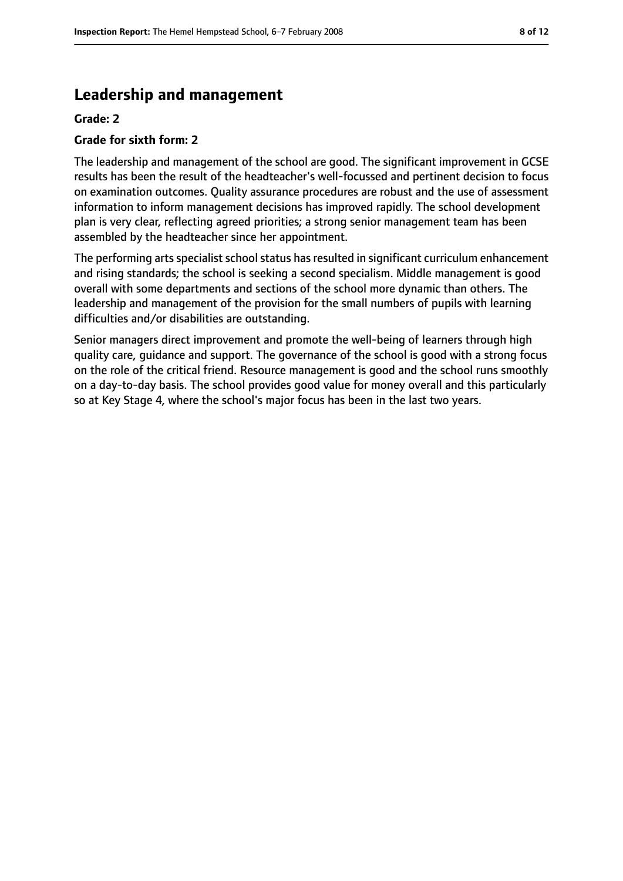### **Leadership and management**

#### **Grade: 2**

#### **Grade for sixth form: 2**

The leadership and management of the school are good. The significant improvement in GCSE results has been the result of the headteacher's well-focussed and pertinent decision to focus on examination outcomes. Quality assurance procedures are robust and the use of assessment information to inform management decisions has improved rapidly. The school development plan is very clear, reflecting agreed priorities; a strong senior management team has been assembled by the headteacher since her appointment.

The performing arts specialist school status has resulted in significant curriculum enhancement and rising standards; the school is seeking a second specialism. Middle management is good overall with some departments and sections of the school more dynamic than others. The leadership and management of the provision for the small numbers of pupils with learning difficulties and/or disabilities are outstanding.

Senior managers direct improvement and promote the well-being of learners through high quality care, guidance and support. The governance of the school is good with a strong focus on the role of the critical friend. Resource management is good and the school runs smoothly on a day-to-day basis. The school provides good value for money overall and this particularly so at Key Stage 4, where the school's major focus has been in the last two years.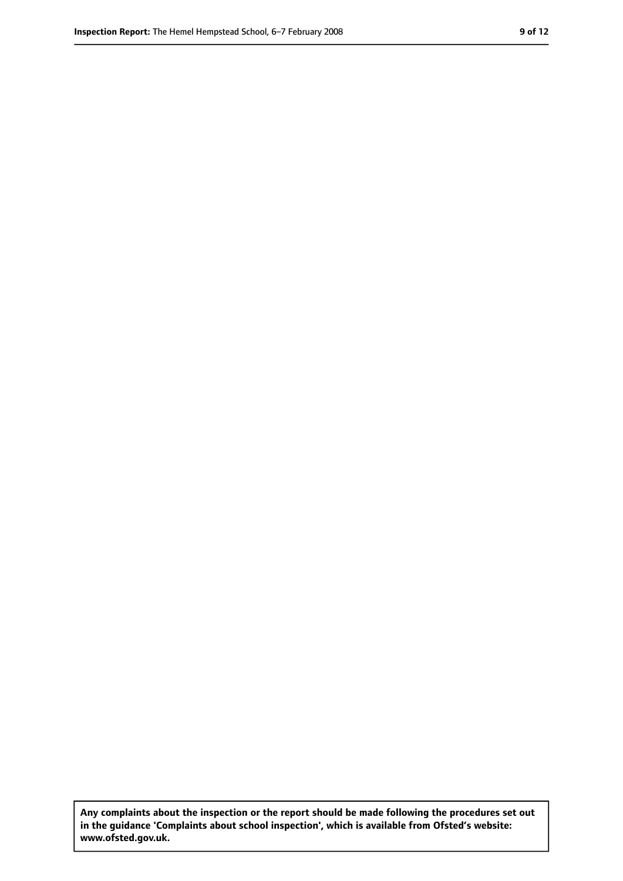**Any complaints about the inspection or the report should be made following the procedures set out in the guidance 'Complaints about school inspection', which is available from Ofsted's website: www.ofsted.gov.uk.**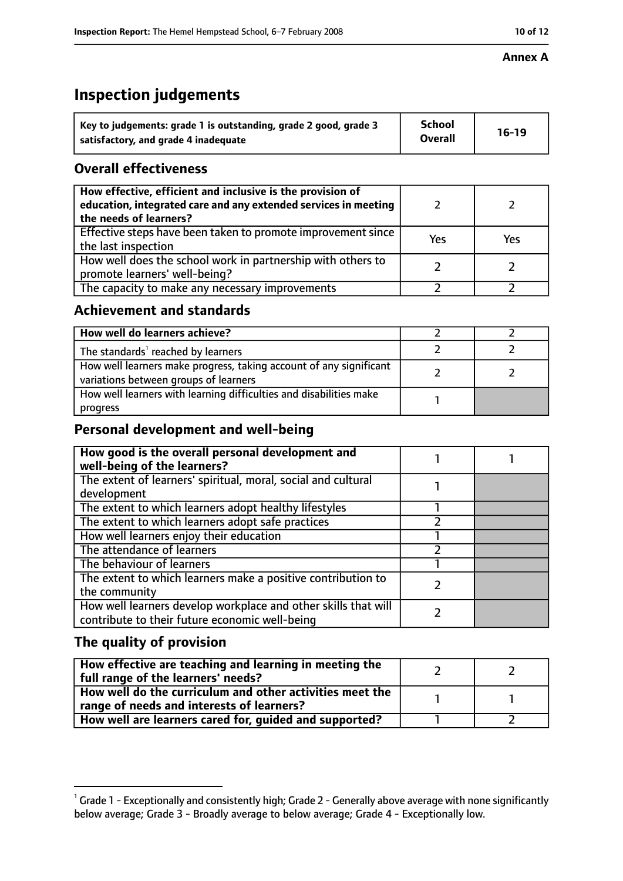#### **Annex A**

### **Inspection judgements**

| Key to judgements: grade 1 is outstanding, grade 2 good, grade 3 | <b>School</b>  | $16-19$ |
|------------------------------------------------------------------|----------------|---------|
| satisfactory, and grade 4 inadequate                             | <b>Overall</b> |         |

### **Overall effectiveness**

| How effective, efficient and inclusive is the provision of<br>education, integrated care and any extended services in meeting<br>the needs of learners? |     |     |
|---------------------------------------------------------------------------------------------------------------------------------------------------------|-----|-----|
| Effective steps have been taken to promote improvement since<br>the last inspection                                                                     | Yes | Yes |
| How well does the school work in partnership with others to<br>promote learners' well-being?                                                            |     |     |
| The capacity to make any necessary improvements                                                                                                         |     |     |

### **Achievement and standards**

| How well do learners achieve?                                                                               |  |
|-------------------------------------------------------------------------------------------------------------|--|
| The standards <sup>1</sup> reached by learners                                                              |  |
| How well learners make progress, taking account of any significant<br>variations between groups of learners |  |
| How well learners with learning difficulties and disabilities make<br>progress                              |  |

### **Personal development and well-being**

| How good is the overall personal development and<br>well-being of the learners?                                  |  |
|------------------------------------------------------------------------------------------------------------------|--|
| The extent of learners' spiritual, moral, social and cultural                                                    |  |
| development                                                                                                      |  |
| The extent to which learners adopt healthy lifestyles                                                            |  |
| The extent to which learners adopt safe practices                                                                |  |
| How well learners enjoy their education                                                                          |  |
| The attendance of learners                                                                                       |  |
| The behaviour of learners                                                                                        |  |
| The extent to which learners make a positive contribution to                                                     |  |
| the community                                                                                                    |  |
| How well learners develop workplace and other skills that will<br>contribute to their future economic well-being |  |

### **The quality of provision**

| How effective are teaching and learning in meeting the<br>full range of the learners' needs?          |  |
|-------------------------------------------------------------------------------------------------------|--|
| How well do the curriculum and other activities meet the<br>range of needs and interests of learners? |  |
| How well are learners cared for, guided and supported?                                                |  |

 $^1$  Grade 1 - Exceptionally and consistently high; Grade 2 - Generally above average with none significantly below average; Grade 3 - Broadly average to below average; Grade 4 - Exceptionally low.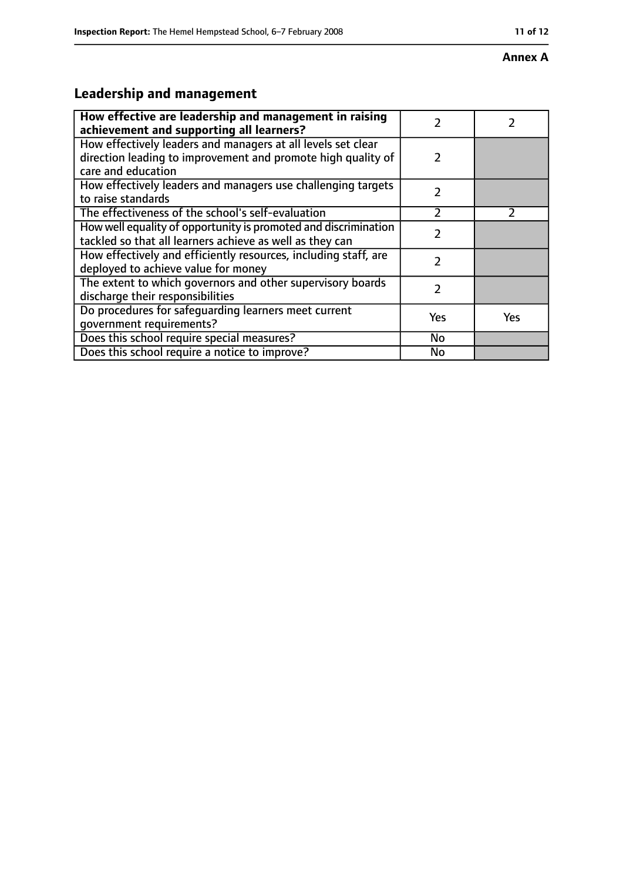#### **Annex A**

## **Leadership and management**

| How effective are leadership and management in raising<br>achievement and supporting all learners?                                                 |               |     |
|----------------------------------------------------------------------------------------------------------------------------------------------------|---------------|-----|
| How effectively leaders and managers at all levels set clear<br>direction leading to improvement and promote high quality of<br>care and education | $\mathcal{P}$ |     |
| How effectively leaders and managers use challenging targets<br>to raise standards                                                                 | 2             |     |
| The effectiveness of the school's self-evaluation                                                                                                  | 7             |     |
| How well equality of opportunity is promoted and discrimination<br>tackled so that all learners achieve as well as they can                        | $\mathfrak z$ |     |
| How effectively and efficiently resources, including staff, are<br>deployed to achieve value for money                                             | $\mathfrak z$ |     |
| The extent to which governors and other supervisory boards<br>discharge their responsibilities                                                     | $\mathfrak z$ |     |
| Do procedures for safequarding learners meet current<br>qovernment requirements?                                                                   | Yes           | Yes |
| Does this school require special measures?                                                                                                         | No            |     |
| Does this school require a notice to improve?                                                                                                      | No            |     |